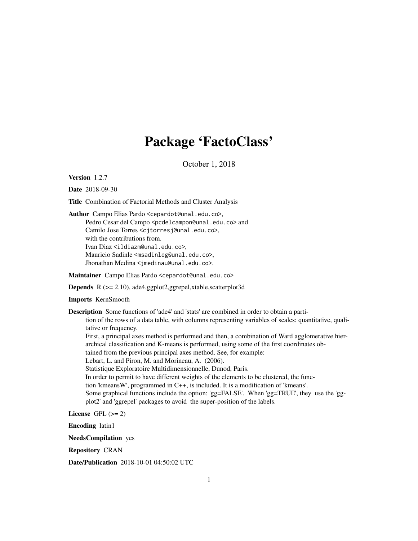## Package 'FactoClass'

October 1, 2018

Version 1.2.7

Date 2018-09-30

Title Combination of Factorial Methods and Cluster Analysis

Author Campo Elias Pardo <cepardot@unal.edu.co>, Pedro Cesar del Campo <pcdelcampon@unal.edu.co> and Camilo Jose Torres <cjtorresj@unal.edu.co>, with the contributions from. Ivan Diaz <ildiazm@unal.edu.co>, Mauricio Sadinle <msadinleg@unal.edu.co>, Jhonathan Medina <jmedinau@unal.edu.co>.

Maintainer Campo Elias Pardo <cepardot@unal.edu.co>

Depends R (>= 2.10), ade4,ggplot2,ggrepel,xtable,scatterplot3d

Imports KernSmooth

Description Some functions of 'ade4' and 'stats' are combined in order to obtain a partition of the rows of a data table, with columns representing variables of scales: quantitative, qualitative or frequency. First, a principal axes method is performed and then, a combination of Ward agglomerative hierarchical classification and K-means is performed, using some of the first coordinates obtained from the previous principal axes method. See, for example: Lebart, L. and Piron, M. and Morineau, A. (2006). Statistique Exploratoire Multidimensionnelle, Dunod, Paris. In order to permit to have different weights of the elements to be clustered, the function 'kmeansW', programmed in C++, is included. It is a modification of 'kmeans'. Some graphical functions include the option: 'gg=FALSE'. When 'gg=TRUE', they use the 'ggplot2' and 'ggrepel' packages to avoid the super-position of the labels.

License GPL  $(>= 2)$ 

Encoding latin1

NeedsCompilation yes

Repository CRAN

Date/Publication 2018-10-01 04:50:02 UTC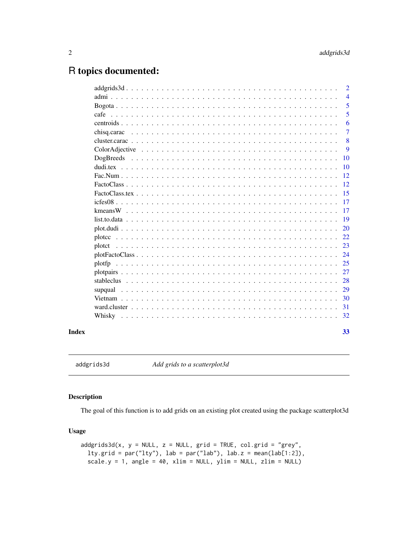### <span id="page-1-0"></span>R topics documented:

|        | $\overline{2}$ |  |
|--------|----------------|--|
|        | $\overline{4}$ |  |
|        | 5              |  |
|        | 5              |  |
|        | 6              |  |
|        | 7              |  |
|        | 8              |  |
|        | 9              |  |
|        | <b>10</b>      |  |
|        | 10             |  |
|        | 12             |  |
|        | 12             |  |
|        | 15             |  |
|        | 17             |  |
|        | 17             |  |
|        | 19             |  |
|        | <b>20</b>      |  |
|        | 22             |  |
| plotet | 23             |  |
|        | 24             |  |
| plotfp | 25             |  |
|        | 27             |  |
|        | 28             |  |
|        | 29             |  |
|        | 30             |  |
|        | 31             |  |
|        |                |  |
|        | 33             |  |

addgrids3d *Add grids to a scatterplot3d*

#### Description

The goal of this function is to add grids on an existing plot created using the package scatterplot3d

#### Usage

```
addgrids3d(x, y = NULL, z = NULL, grid = TRUE, col.grid = "grey",lty.grid = par("lty"), lab = par("lab"), lab.z = mean(lab[1:2]),
  scale.y = 1, angle = 40, xlim = NULL, ylim = NULL, zlim = NULL)
```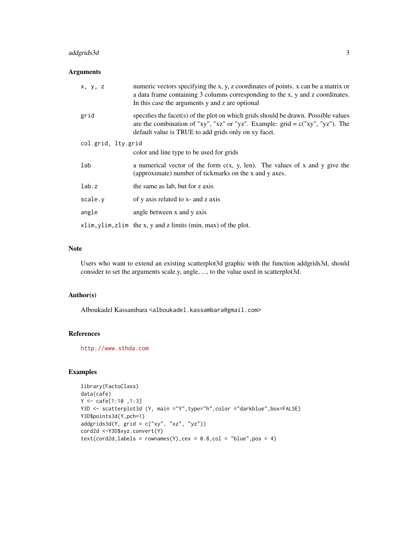#### addgrids3d 3

#### Arguments

| x, y, z            | numeric vectors specifying the x, y, z coordinates of points. x can be a matrix or<br>a data frame containing 3 columns corresponding to the x, y and z coordinates.<br>In this case the arguments y and z are optional        |
|--------------------|--------------------------------------------------------------------------------------------------------------------------------------------------------------------------------------------------------------------------------|
| grid               | specifies the facet(s) of the plot on which grids should be drawn. Possible values<br>are the combination of "xy", "xz" or "yz". Example: $grid = c("xy", "yz")$ . The<br>default value is TRUE to add grids only on xy facet. |
| col.grid, lty.grid |                                                                                                                                                                                                                                |
|                    | color and line type to be used for grids                                                                                                                                                                                       |
| lab                | a numerical vector of the form $c(x, y, len)$ . The values of x and y give the<br>(approximate) number of tickmarks on the x and y axes.                                                                                       |
| lab.z              | the same as lab, but for z axis                                                                                                                                                                                                |
| scale.y            | of y axis related to x- and z axis                                                                                                                                                                                             |
| angle              | angle between x and y axis                                                                                                                                                                                                     |
|                    | xlim, ylim, zlim the x, y and z limits (min, max) of the plot.                                                                                                                                                                 |

#### Note

Users who want to extend an existing scatterplot3d graphic with the function addgrids3d, should consider to set the arguments scale.y, angle, ..., to the value used in scatterplot3d.

#### Author(s)

Alboukadel Kassambara <alboukadel.kassambara@gmail.com>

#### References

<http://www.sthda.com>

```
library(FactoClass)
data(cafe)
Y <- cafe[1:10 ,1:3]
Y3D <- scatterplot3d (Y, main ="Y",type="h",color ="darkblue",box=FALSE)
Y3D$points3d(Y,pch=1)
addgrids3d(Y, grid = c("xy", "xz", "yz"))
cord2d <-Y3D$xyz.convert(Y)
text(cord2d, labels = rownames(Y), cex = 0.8, col = "blue", pos = 4)
```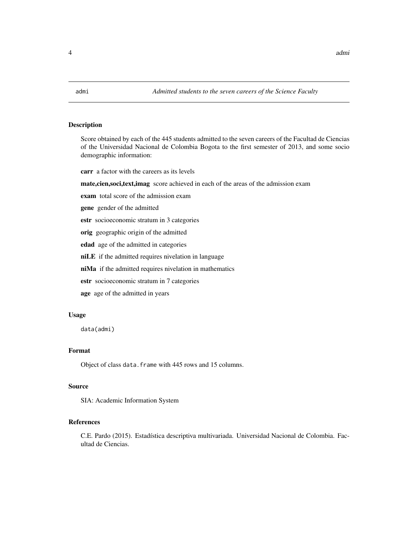<span id="page-3-0"></span>

Score obtained by each of the 445 students admitted to the seven careers of the Facultad de Ciencias of the Universidad Nacional de Colombia Bogota to the first semester of 2013, and some socio demographic information:

carr a factor with the careers as its levels

mate,cien,soci,text,imag score achieved in each of the areas of the admission exam

exam total score of the admission exam

gene gender of the admitted

estr socioeconomic stratum in 3 categories

orig geographic origin of the admitted

edad age of the admitted in categories

niLE if the admitted requires nivelation in language

niMa if the admitted requires nivelation in mathematics

estr socioeconomic stratum in 7 categories

age age of the admitted in years

#### Usage

data(admi)

#### Format

Object of class data.frame with 445 rows and 15 columns.

#### Source

SIA: Academic Information System

#### References

C.E. Pardo (2015). Estadística descriptiva multivariada. Universidad Nacional de Colombia. Facultad de Ciencias.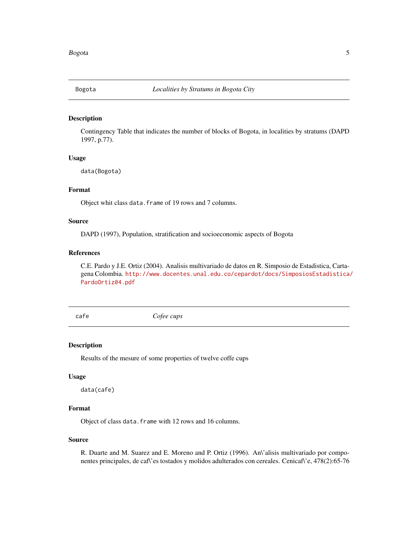<span id="page-4-0"></span>

Contingency Table that indicates the number of blocks of Bogota, in localities by stratums (DAPD 1997, p.77).

#### Usage

data(Bogota)

#### Format

Object whit class data.frame of 19 rows and 7 columns.

#### Source

DAPD (1997), Population, stratification and socioeconomic aspects of Bogota

#### References

C.E. Pardo y J.E. Ortiz (2004). Analisis multivariado de datos en R. Simposio de Estadistica, Cartagena Colombia. [http://www.docentes.unal.edu.co/cepardot/docs/SimposiosEstadistica/](http://www.docentes.unal.edu.co/cepardot/docs/SimposiosEstadistica/PardoOrtiz04.pdf) [PardoOrtiz04.pdf](http://www.docentes.unal.edu.co/cepardot/docs/SimposiosEstadistica/PardoOrtiz04.pdf)

cafe *Cofee cups*

#### Description

Results of the mesure of some properties of twelve coffe cups

#### Usage

data(cafe)

#### Format

Object of class data.frame with 12 rows and 16 columns.

#### Source

R. Duarte and M. Suarez and E. Moreno and P. Ortiz (1996). An\'alisis multivariado por componentes principales, de caf\'es tostados y molidos adulterados con cereales. Cenicaf\'e, 478(2):65-76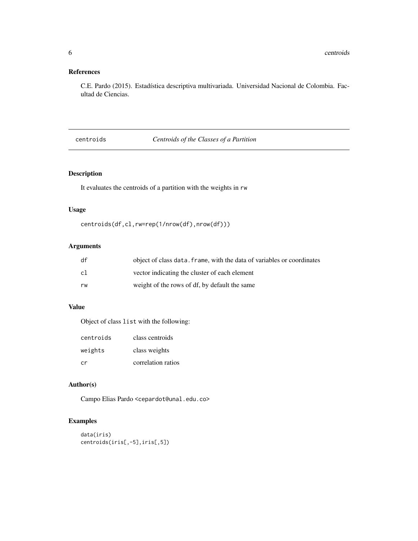#### <span id="page-5-0"></span>References

C.E. Pardo (2015). Estadística descriptiva multivariada. Universidad Nacional de Colombia. Facultad de Ciencias.

#### centroids *Centroids of the Classes of a Partition*

#### Description

It evaluates the centroids of a partition with the weights in rw

#### Usage

```
centroids(df,cl,rw=rep(1/nrow(df),nrow(df)))
```
#### Arguments

| df | object of class data. frame, with the data of variables or coordinates |
|----|------------------------------------------------------------------------|
| c1 | vector indicating the cluster of each element                          |
| rw | weight of the rows of df, by default the same                          |

#### Value

Object of class list with the following:

| centroids | class centroids    |
|-----------|--------------------|
| weights   | class weights      |
| cr        | correlation ratios |

#### Author(s)

Campo Elias Pardo <cepardot@unal.edu.co>

```
data(iris)
centroids(iris[,-5],iris[,5])
```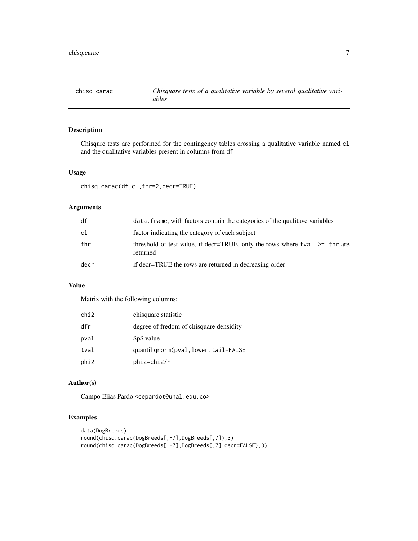<span id="page-6-0"></span>

Chisqure tests are performed for the contingency tables crossing a qualitative variable named cl and the qualitative variables present in columns from df

#### Usage

chisq.carac(df,cl,thr=2,decr=TRUE)

#### Arguments

| df   | data, frame, with factors contain the categories of the qualitave variables                 |
|------|---------------------------------------------------------------------------------------------|
| cl   | factor indicating the category of each subject                                              |
| thr  | threshold of test value, if decr=TRUE, only the rows where tval $\ge$ = thr are<br>returned |
| decr | if decr=TRUE the rows are returned in decreasing order                                      |

#### Value

Matrix with the following columns:

| chi2 | chisquare statistic                     |
|------|-----------------------------------------|
| dfr  | degree of fredom of chisquare densidity |
| pval | \$p\$ value                             |
| tval | quantil qnorm(pval, lower.tail=FALSE    |
| phi2 | phi2=chi2/n                             |

#### Author(s)

Campo Elias Pardo <cepardot@unal.edu.co>

```
data(DogBreeds)
round(chisq.carac(DogBreeds[,-7],DogBreeds[,7]),3)
round(chisq.carac(DogBreeds[,-7],DogBreeds[,7],decr=FALSE),3)
```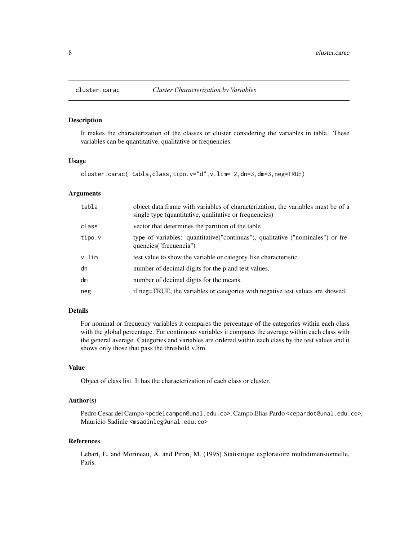<span id="page-7-0"></span>

It makes the characterization of the classes or cluster considering the variables in tabla. These variables can be quantitative, qualitative or frequencies.

#### Usage

```
cluster.carac( tabla,class,tipo.v="d",v.lim= 2,dn=3,dm=3,neg=TRUE)
```
#### Arguments

| tabla  | object data. frame with variables of characterization, the variables must be of a<br>single type (quantitative, qualitative or frequencies) |
|--------|---------------------------------------------------------------------------------------------------------------------------------------------|
| class  | vector that determines the partition of the table                                                                                           |
| tipo.v | type of variables: quantitative("continuas"), qualitative ("nominales") or fre-<br>quencies ("frecuencia")                                  |
| v.lim  | test value to show the variable or category like characteristic.                                                                            |
| dn     | number of decimal digits for the p and test values.                                                                                         |
| dm     | number of decimal digits for the means.                                                                                                     |
| neg    | if neg=TRUE, the variables or categories with negative test values are showed.                                                              |

#### Details

For nominal or frecuency variables it compares the percentage of the categories within each class with the global percentage. For continuous variables it compares the average within each class with the general average. Categories and variables are ordered within each class by the test values and it shows only those that pass the threshold v.lim.

#### Value

Object of class list. It has the characterization of each class or cluster.

#### Author(s)

Pedro Cesar del Campo <pcdelcampon@unal.edu.co>, Campo Elias Pardo <cepardot@unal.edu.co>, Mauricio Sadinle <msadinleg@unal.edu.co>

#### References

Lebart, L. and Morineau, A. and Piron, M. (1995) Statisitique exploratoire multidimensionnelle, Paris.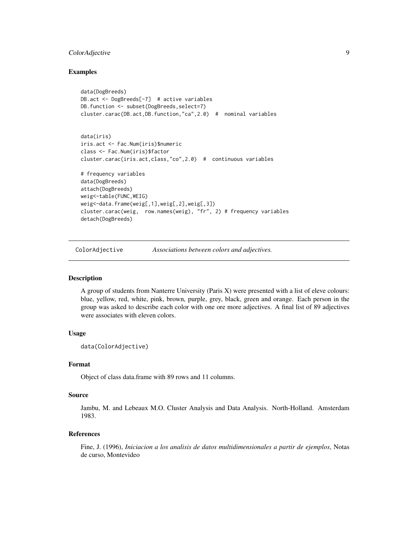#### <span id="page-8-0"></span>ColorAdjective 9

#### Examples

```
data(DogBreeds)
DB.act <- DogBreeds[-7] # active variables
DB.function <- subset(DogBreeds, select=7)
cluster.carac(DB.act,DB.function,"ca",2.0) # nominal variables
data(iris)
iris.act <- Fac.Num(iris)$numeric
```

```
class <- Fac.Num(iris)$factor
cluster.carac(iris.act,class,"co",2.0) # continuous variables
# frequency variables
data(DogBreeds)
attach(DogBreeds)
weig<-table(FUNC,WEIG)
weig<-data.frame(weig[,1],weig[,2],weig[,3])
cluster.carac(weig, row.names(weig), "fr", 2) # frequency variables
detach(DogBreeds)
```
ColorAdjective *Associations between colors and adjectives.*

#### Description

A group of students from Nanterre University (Paris X) were presented with a list of eleve colours: blue, yellow, red, white, pink, brown, purple, grey, black, green and orange. Each person in the group was asked to describe each color with one ore more adjectives. A final list of 89 adjectives were associates with eleven colors.

#### Usage

```
data(ColorAdjective)
```
#### Format

Object of class data.frame with 89 rows and 11 columns.

#### Source

Jambu, M. and Lebeaux M.O. Cluster Analysis and Data Analysis. North-Holland. Amsterdam 1983.

#### References

Fine, J. (1996), *Iniciacion a los analisis de datos multidimensionales a partir de ejemplos*, Notas de curso, Montevideo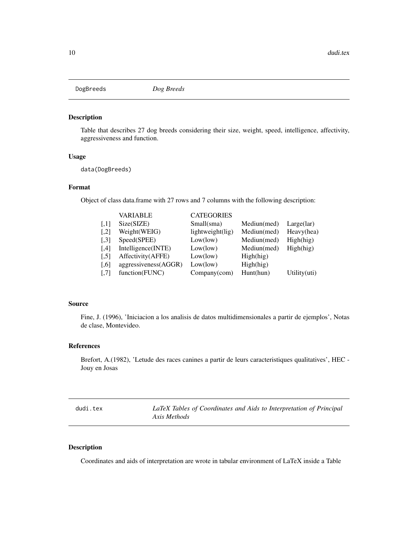<span id="page-9-0"></span>DogBreeds *Dog Breeds*

#### Description

Table that describes 27 dog breeds considering their size, weight, speed, intelligence, affectivity, aggressiveness and function.

#### Usage

data(DogBreeds)

#### Format

Object of class data.frame with 27 rows and 7 columns with the following description:

|                     | <b>VARIABLE</b>      | <b>CATEGORIES</b> |             |              |
|---------------------|----------------------|-------------------|-------------|--------------|
| $\left[ .1 \right]$ | Size(SIZE)           | Small(sma)        | Mediun(med) | Large(lar)   |
| $\left[ 1,2\right]$ | Weight(WEIG)         | lightweight(lig)  | Mediun(med) | Heavy(hea)   |
| $\left[ .3 \right]$ | Speed(SPEE)          | Low(low)          | Mediun(med) | High(hig)    |
| [4]                 | Intelligence(INTE)   | Low(low)          | Mediun(med) | High(hig)    |
| $\left[ .5 \right]$ | Affectivity(AFFE)    | Low(low)          | High(hig)   |              |
| $[0.6]$             | aggressiveness(AGGR) | Low(low)          | High(hig)   |              |
| $\left[ .7 \right]$ | function(FUNC)       | $Company$ (com)   | Hunt(hun)   | Utility(uti) |

#### Source

Fine, J. (1996), 'Iniciacion a los analisis de datos multidimensionales a partir de ejemplos', Notas de clase, Montevideo.

#### References

Brefort, A.(1982), 'Letude des races canines a partir de leurs caracteristiques qualitatives', HEC - Jouy en Josas

| dudi.tex | LaTeX Tables of Coordinates and Aids to Interpretation of Principal |
|----------|---------------------------------------------------------------------|
|          | Axis Methods                                                        |

#### Description

Coordinates and aids of interpretation are wrote in tabular environment of LaTeX inside a Table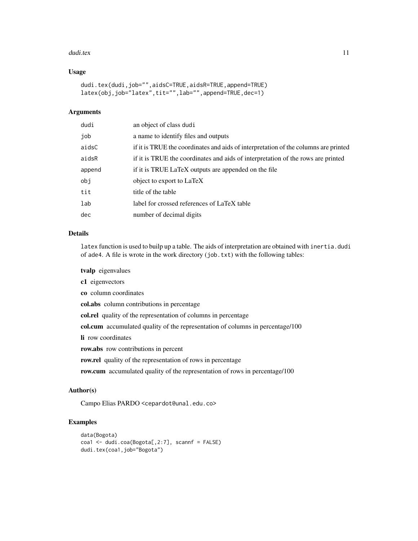#### dudi.tex 11

#### Usage

```
dudi.tex(dudi,job="",aidsC=TRUE,aidsR=TRUE,append=TRUE)
latex(obj,job="latex",tit="",lab="",append=TRUE,dec=1)
```
#### Arguments

| dudi   | an object of class dudi                                                             |
|--------|-------------------------------------------------------------------------------------|
| job    | a name to identify files and outputs                                                |
| aidsC  | if it is TRUE the coordinates and aids of interpretation of the columns are printed |
| aidsR  | if it is TRUE the coordinates and aids of interpretation of the rows are printed    |
| append | if it is TRUE LaTeX outputs are appended on the file                                |
| obj    | object to export to LaTeX                                                           |
| tit    | title of the table                                                                  |
| lab    | label for crossed references of LaTeX table                                         |
| dec    | number of decimal digits                                                            |
|        |                                                                                     |

#### Details

latex function is used to builp up a table. The aids of interpretation are obtained with inertia.dudi of ade4. A file is wrote in the work directory (job.txt) with the following tables:

tvalp eigenvalues

c1 eigenvectors

co column coordinates

col.abs column contributions in percentage

col.rel quality of the representation of columns in percentage

col.cum accumulated quality of the representation of columns in percentage/100

li row coordinates

row.abs row contributions in percent

row.rel quality of the representation of rows in percentage

row.cum accumulated quality of the representation of rows in percentage/100

#### Author(s)

Campo Elias PARDO <cepardot@unal.edu.co>

```
data(Bogota)
coa1 <- dudi.coa(Bogota[,2:7], scannf = FALSE)
dudi.tex(coa1,job="Bogota")
```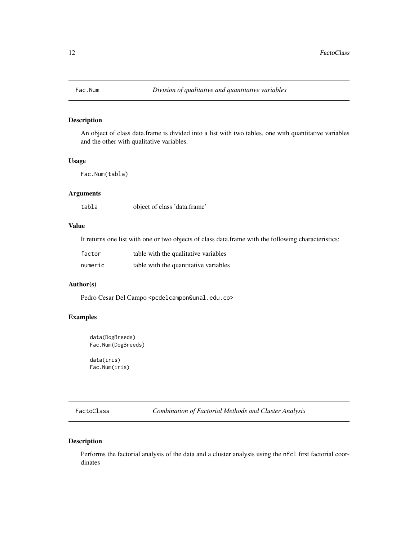<span id="page-11-0"></span>

An object of class data.frame is divided into a list with two tables, one with quantitative variables and the other with qualitative variables.

#### Usage

Fac.Num(tabla)

#### Arguments

tabla object of class 'data.frame'

#### Value

It returns one list with one or two objects of class data.frame with the following characteristics:

| factor  | table with the qualitative variables  |
|---------|---------------------------------------|
| numeric | table with the quantitative variables |

#### Author(s)

Pedro Cesar Del Campo <pcdelcampon@unal.edu.co>

#### Examples

```
data(DogBreeds)
Fac.Num(DogBreeds)
```
data(iris) Fac.Num(iris)

<span id="page-11-1"></span>FactoClass *Combination of Factorial Methods and Cluster Analysis*

#### Description

Performs the factorial analysis of the data and a cluster analysis using the nfcl first factorial coordinates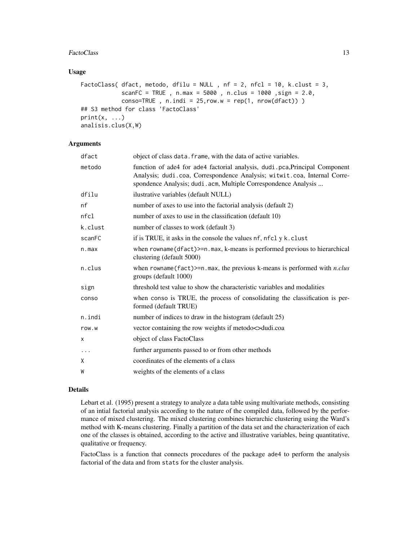#### FactoClass 23

#### Usage

```
FactoClass( dfact, metodo, dfilu = NULL, nf = 2, nfcl = 10, k.clust = 3,
            scanFC = TRUE , n.max = 5000 , n.clus = 1000 ,sign = 2.0,
            conso=TRUE, n.indi = 25, row.w = rep(1, nrow(dfact)))
## S3 method for class 'FactoClass'
print(x, \ldots)analisis.clus(X,W)
```
#### Arguments

| dfact    | object of class data. frame, with the data of active variables.                                                                                                                                                           |
|----------|---------------------------------------------------------------------------------------------------------------------------------------------------------------------------------------------------------------------------|
| metodo   | function of ade4 for ade4 factorial analysis, dudi.pca, Principal Component<br>Analysis; dudi.coa, Correspondence Analysis; witwit.coa, Internal Corre-<br>spondence Analysis; dudi.acm, Multiple Correspondence Analysis |
| dfilu    | ilustrative variables (default NULL)                                                                                                                                                                                      |
| nf       | number of axes to use into the factorial analysis (default 2)                                                                                                                                                             |
| nfcl     | number of axes to use in the classification (default 10)                                                                                                                                                                  |
| k.clust  | number of classes to work (default 3)                                                                                                                                                                                     |
| scanFC   | if is TRUE, it asks in the console the values nf, nfcl y k.clust                                                                                                                                                          |
| n.max    | when $rowname(dfact) \geq n.max$ , k-means is performed previous to hierarchical<br>clustering (default 5000)                                                                                                             |
| n.clus   | when rowname (fact) >= $n$ . max, the previous k-means is performed with $n$ .clus<br>groups (default 1000)                                                                                                               |
| sign     | threshold test value to show the characteristic variables and modalities                                                                                                                                                  |
| conso    | when conso is TRUE, the process of consolidating the classification is per-<br>formed (default TRUE)                                                                                                                      |
| n.indi   | number of indices to draw in the histogram (default 25)                                                                                                                                                                   |
| row.w    | vector containing the row weights if metodo $\lt$ dudi.coa                                                                                                                                                                |
| X        | object of class FactoClass                                                                                                                                                                                                |
| $\ddots$ | further arguments passed to or from other methods                                                                                                                                                                         |
| Χ        | coordinates of the elements of a class                                                                                                                                                                                    |
| W        | weights of the elements of a class                                                                                                                                                                                        |
|          |                                                                                                                                                                                                                           |

#### Details

Lebart et al. (1995) present a strategy to analyze a data table using multivariate methods, consisting of an intial factorial analysis according to the nature of the compiled data, followed by the performance of mixed clustering. The mixed clustering combines hierarchic clustering using the Ward's method with K-means clustering. Finally a partition of the data set and the characterization of each one of the classes is obtained, according to the active and illustrative variables, being quantitative, qualitative or frequency.

FactoClass is a function that connects procedures of the package ade4 to perform the analysis factorial of the data and from stats for the cluster analysis.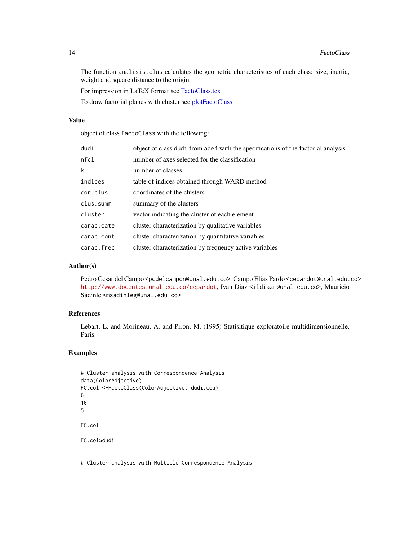<span id="page-13-0"></span>The function analisis.clus calculates the geometric characteristics of each class: size, inertia, weight and square distance to the origin.

For impression in LaTeX format see [FactoClass.tex](#page-14-1)

To draw factorial planes with cluster see [plotFactoClass](#page-23-1)

#### Value

object of class FactoClass with the following:

| dudi       | object of class dudi from ade4 with the specifications of the factorial analysis |
|------------|----------------------------------------------------------------------------------|
| nfc1       | number of axes selected for the classification                                   |
| k          | number of classes                                                                |
| indices    | table of indices obtained through WARD method                                    |
| cor.clus   | coordinates of the clusters                                                      |
| clus.summ  | summary of the clusters                                                          |
| cluster    | vector indicating the cluster of each element                                    |
| carac.cate | cluster characterization by qualitative variables                                |
| carac.cont | cluster characterization by quantitative variables                               |
| carac.frec | cluster characterization by frequency active variables                           |

#### Author(s)

Pedro Cesar del Campo <pcdelcampon@unal.edu.co>, Campo Elias Pardo <cepardot@unal.edu.co> <http://www.docentes.unal.edu.co/cepardot>, Ivan Diaz <ildiazm@unal.edu.co>, Mauricio Sadinle <msadinleg@unal.edu.co>

#### References

Lebart, L. and Morineau, A. and Piron, M. (1995) Statisitique exploratoire multidimensionnelle, Paris.

#### Examples

```
# Cluster analysis with Correspondence Analysis
data(ColorAdjective)
FC.col <-FactoClass(ColorAdjective, dudi.coa)
6
10
5
FC.col
FC.col$dudi
```
# Cluster analysis with Multiple Correspondence Analysis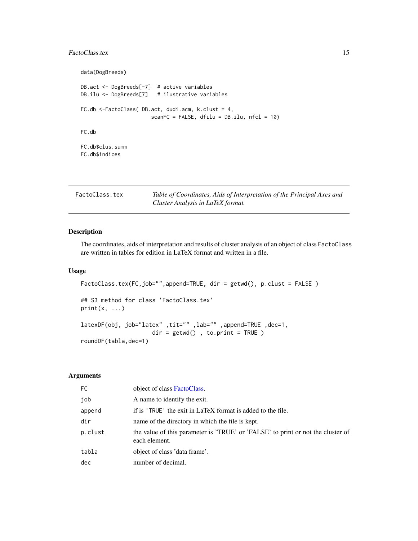#### <span id="page-14-0"></span>FactoClass.tex 15

```
data(DogBreeds)
DB.act <- DogBreeds[-7] # active variables
DB.ilu <- DogBreeds[7] # ilustrative variables
FC.db <-FactoClass( DB.act, dudi.acm, k.clust = 4,
                      scanFC = FALSE, dfilu = DB.ilu, nfc1 = 10)FC.db
FC.db$clus.summ
FC.db$indices
```
<span id="page-14-1"></span>

| FactoClass.tex | Table of Coordinates, Aids of Interpretation of the Principal Axes and |
|----------------|------------------------------------------------------------------------|
|                | Cluster Analysis in LaTeX format.                                      |

#### Description

The coordinates, aids of interpretation and results of cluster analysis of an object of class FactoClass are written in tables for edition in LaTeX format and written in a file.

#### Usage

```
FactoClass.tex(FC,job="",append=TRUE, dir = getwd(), p.clust = FALSE)
## S3 method for class 'FactoClass.tex'
print(x, \ldots)latexDF(obj, job="latex" ,tit="" ,lab="" ,append=TRUE ,dec=1,
                     dir = getwd(), to.print = TRUE)
roundDF(tabla,dec=1)
```
#### Arguments

| FC.     | object of class FactoClass.                                                                      |
|---------|--------------------------------------------------------------------------------------------------|
| job     | A name to identify the exit.                                                                     |
| append  | if is 'TRUE' the exit in LaTeX format is added to the file.                                      |
| dir     | name of the directory in which the file is kept.                                                 |
| p.clust | the value of this parameter is 'TRUE' or 'FALSE' to print or not the cluster of<br>each element. |
| tabla   | object of class 'data frame'.                                                                    |
| dec     | number of decimal.                                                                               |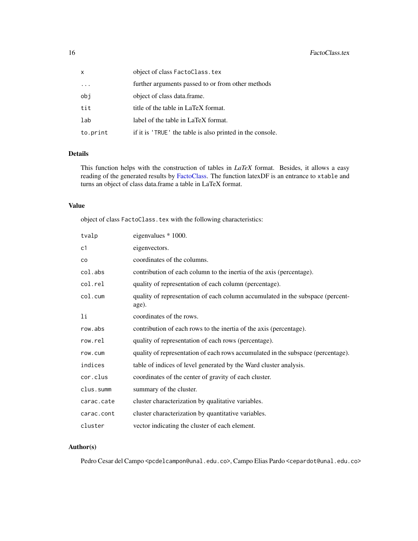<span id="page-15-0"></span>

| x         | object of class FactoClass.tex                            |
|-----------|-----------------------------------------------------------|
| $\ddotsc$ | further arguments passed to or from other methods         |
| obi       | object of class data.frame.                               |
| tit       | title of the table in LaTeX format.                       |
| lab       | label of the table in LaTeX format.                       |
| to.print  | if it is 'TRUE' the table is also printed in the console. |

#### Details

This function helps with the construction of tables in *LaTeX* format. Besides, it allows a easy reading of the generated results by [FactoClass.](#page-11-1) The function latexDF is an entrance to xtable and turns an object of class data.frame a table in LaTeX format.

#### Value

object of class FactoClass.tex with the following characteristics:

| tvalp      | eigenvalues * 1000.                                                                     |
|------------|-----------------------------------------------------------------------------------------|
| c1         | eigenvectors.                                                                           |
| CO         | coordinates of the columns.                                                             |
| col.abs    | contribution of each column to the inertia of the axis (percentage).                    |
| col.rel    | quality of representation of each column (percentage).                                  |
| col.cum    | quality of representation of each column accumulated in the subspace (percent-<br>age). |
| li         | coordinates of the rows.                                                                |
| row.abs    | contribution of each rows to the inertia of the axis (percentage).                      |
| row.rel    | quality of representation of each rows (percentage).                                    |
| row.cum    | quality of representation of each rows accumulated in the subspace (percentage).        |
| indices    | table of indices of level generated by the Ward cluster analysis.                       |
| cor.clus   | coordinates of the center of gravity of each cluster.                                   |
| clus.summ  | summary of the cluster.                                                                 |
| carac.cate | cluster characterization by qualitative variables.                                      |
| carac.cont | cluster characterization by quantitative variables.                                     |
| cluster    | vector indicating the cluster of each element.                                          |

#### Author(s)

Pedro Cesar del Campo <pcdelcampon@unal.edu.co>, Campo Elias Pardo <cepardot@unal.edu.co>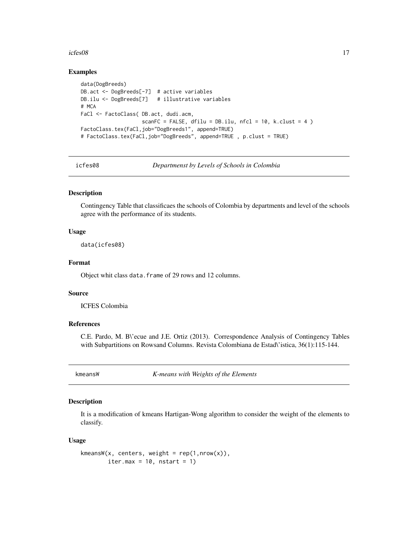#### <span id="page-16-0"></span> $i$ cfes $08$  17

#### Examples

```
data(DogBreeds)
DB.act <- DogBreeds[-7] # active variables
DB.ilu <- DogBreeds[7] # illustrative variables
# MCA
FaCl <- FactoClass( DB.act, dudi.acm,
                    scanFC = FALSE, dfilu = DB.ilu, nfcl = 10, k.clust = 4 )
FactoClass.tex(FaCl,job="DogBreeds1", append=TRUE)
# FactoClass.tex(FaCl,job="DogBreeds", append=TRUE , p.clust = TRUE)
```
icfes08 *Departmenst by Levels of Schools in Colombia*

#### Description

Contingency Table that classificaes the schools of Colombia by departments and level of the schools agree with the performance of its students.

#### Usage

data(icfes08)

#### Format

Object whit class data.frame of 29 rows and 12 columns.

#### Source

ICFES Colombia

#### References

C.E. Pardo, M. B\'ecue and J.E. Ortiz (2013). Correspondence Analysis of Contingency Tables with Subpartitions on Rowsand Columns. Revista Colombiana de Estad\'istica, 36(1):115-144.

kmeansW *K-means with Weights of the Elements*

#### Description

It is a modification of kmeans Hartigan-Wong algorithm to consider the weight of the elements to classify.

#### Usage

```
kmeansW(x, centers, weight = rep(1,nrow(x)),
       iter.max = 10, nstart = 1)
```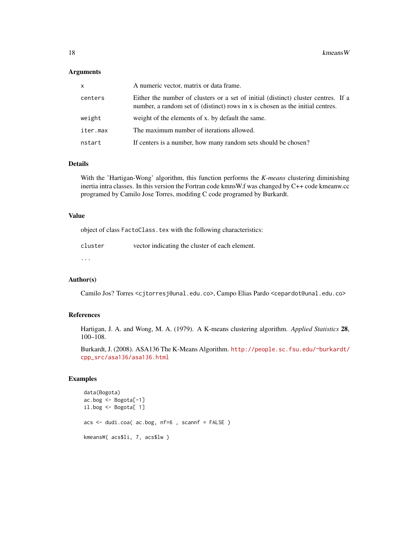#### Arguments

| x        | A numeric vector, matrix or data frame.                                                                                                                              |
|----------|----------------------------------------------------------------------------------------------------------------------------------------------------------------------|
| centers  | Either the number of clusters or a set of initial (distinct) cluster centres. If a<br>number, a random set of (distinct) rows in x is chosen as the initial centres. |
| weight   | weight of the elements of x. by default the same.                                                                                                                    |
| iter.max | The maximum number of iterations allowed.                                                                                                                            |
| nstart   | If centers is a number, how many random sets should be chosen?                                                                                                       |

#### Details

With the 'Hartigan-Wong' algorithm, this function performs the *K-means* clustering diminishing inertia intra classes. In this version the Fortran code kmnsW.f was changed by C++ code kmeanw.cc programed by Camilo Jose Torres, modifing C code programed by Burkardt.

#### Value

object of class FactoClass.tex with the following characteristics:

| cluster | vector indicating the cluster of each element. |
|---------|------------------------------------------------|
|         |                                                |

...

#### Author(s)

Camilo Jos? Torres <cjtorresj@unal.edu.co>, Campo Elias Pardo <cepardot@unal.edu.co>

#### References

Hartigan, J. A. and Wong, M. A. (1979). A K-means clustering algorithm. *Applied Statistics* 28, 100–108.

Burkardt, J. (2008). ASA136 The K-Means Algorithm. [http://people.sc.fsu.edu/~burkardt/](http://people.sc.fsu.edu/~burkardt/cpp_src/asa136/asa136.html) [cpp\\_src/asa136/asa136.html](http://people.sc.fsu.edu/~burkardt/cpp_src/asa136/asa136.html)

```
data(Bogota)
ac.bog <- Bogota[-1]
il.bog <- Bogota[ 1]
acs <- dudi.coa( ac.bog, nf=6 , scannf = FALSE )
kmeansW( acs$li, 7, acs$lw )
```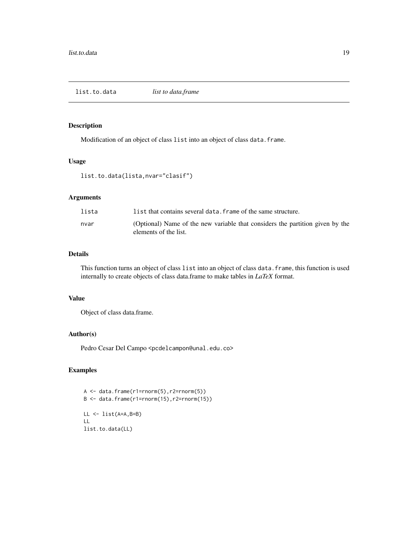<span id="page-18-0"></span>list.to.data *list to data.frame*

#### Description

Modification of an object of class list into an object of class data.frame.

#### Usage

```
list.to.data(lista,nvar="clasif")
```
#### Arguments

| lista | list that contains several data. frame of the same structure.                                          |
|-------|--------------------------------------------------------------------------------------------------------|
| nvar  | (Optional) Name of the new variable that considers the partition given by the<br>elements of the list. |

#### Details

This function turns an object of class list into an object of class data.frame, this function is used internally to create objects of class data.frame to make tables in *LaTeX* format.

#### Value

Object of class data.frame.

#### Author(s)

Pedro Cesar Del Campo <pcdelcampon@unal.edu.co>

```
A <- data.frame(r1=rnorm(5),r2=rnorm(5))
B \le - data.frame(r1=rnorm(15),r2=rnorm(15))
LL <- list(A=A,B=B)
LL
list.to.data(LL)
```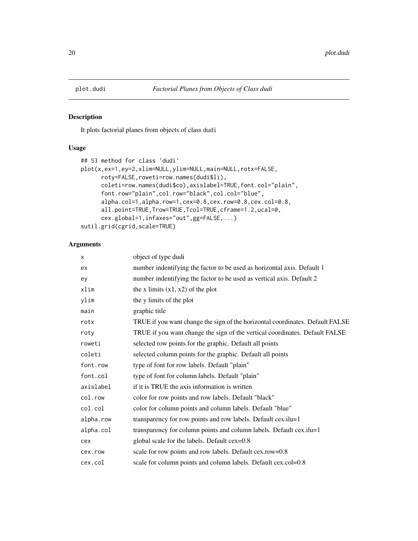<span id="page-19-0"></span>

It plots factorial planes from objects of class dudi

#### Usage

```
## S3 method for class 'dudi'
plot(x,ex=1,ey=2,xlim=NULL,ylim=NULL,main=NULL,rotx=FALSE,
     roty=FALSE,roweti=row.names(dudi$li),
     coleti=row.names(dudi$co),axislabel=TRUE,font.col="plain",
     font.row="plain",col.row="black",col.col="blue",
     alpha.col=1,alpha.row=1,cex=0.8,cex.row=0.8,cex.col=0.8,
     all.point=TRUE,Trow=TRUE,Tcol=TRUE,cframe=1.2,ucal=0,
     cex.global=1,infaxes="out",gg=FALSE,...)
sutil.grid(cgrid,scale=TRUE)
```
#### Arguments

| X         | object of type dudi                                                           |
|-----------|-------------------------------------------------------------------------------|
| ex        | number indentifying the factor to be used as horizontal axis. Default 1       |
| ey        | number indentifying the factor to be used as vertical axis. Default 2         |
| xlim      | the x limits $(x1, x2)$ of the plot                                           |
| ylim      | the y limits of the plot                                                      |
| main      | graphic title                                                                 |
| rotx      | TRUE if you want change the sign of the horizontal coordinates. Default FALSE |
| roty      | TRUE if you want change the sign of the vertical coordinates. Default FALSE   |
| roweti    | selected row points for the graphic. Default all points                       |
| coleti    | selected column points for the graphic. Default all points                    |
| font.row  | type of font for row labels. Default "plain"                                  |
| font.col  | type of font for column labels. Default "plain"                               |
| axislabel | if it is TRUE the axis information is written                                 |
| col.row   | color for row points and row labels. Default "black"                          |
| col.col   | color for column points and column labels. Default "blue"                     |
| alpha.row | transparency for row points and row labels. Default cex.ilu=1                 |
| alpha.col | transparency for column points and column labels. Default cex.ilu=1           |
| cex       | global scale for the labels. Default cex=0.8                                  |
| cex.row   | scale for row points and row labels. Default cex.row=0.8                      |
| cex.col   | scale for column points and column labels. Default cex.col=0.8                |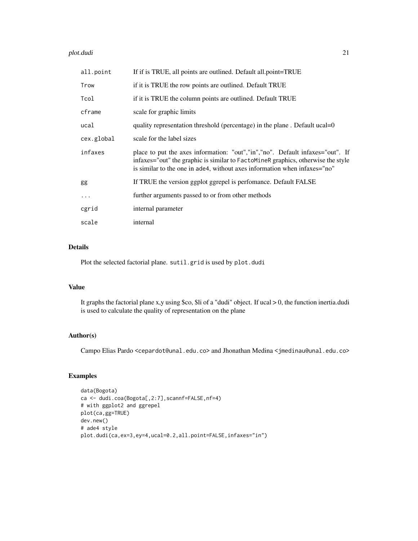#### plot.dudi 21

| all.point  | If if is TRUE, all points are outlined. Default all.point=TRUE                                                                                                                                                                                  |
|------------|-------------------------------------------------------------------------------------------------------------------------------------------------------------------------------------------------------------------------------------------------|
| Trow       | if it is TRUE the row points are outlined. Default TRUE                                                                                                                                                                                         |
| Tcol       | if it is TRUE the column points are outlined. Default TRUE                                                                                                                                                                                      |
| cframe     | scale for graphic limits                                                                                                                                                                                                                        |
| ucal       | quality representation threshold (percentage) in the plane. Default ucal=0                                                                                                                                                                      |
| cex.global | scale for the label sizes                                                                                                                                                                                                                       |
| infaxes    | place to put the axes information: "out","in","no". Default infaxes="out". If<br>infaxes="out" the graphic is similar to FactoMineR graphics, otherwise the style<br>is similar to the one in a de4, without axes information when infaxes="no" |
| gg         | If TRUE the version ggplot ggrepel is perfomance. Default FALSE                                                                                                                                                                                 |
| $\cdots$   | further arguments passed to or from other methods                                                                                                                                                                                               |
| cgrid      | internal parameter                                                                                                                                                                                                                              |
| scale      | internal                                                                                                                                                                                                                                        |

#### Details

Plot the selected factorial plane. sutil.grid is used by plot.dudi

#### Value

It graphs the factorial plane x,y using \$co, \$li of a "dudi" object. If ucal > 0, the function inertia.dudi is used to calculate the quality of representation on the plane

#### Author(s)

Campo Elias Pardo <cepardot@unal.edu.co> and Jhonathan Medina <jmedinau@unal.edu.co>

```
data(Bogota)
ca <- dudi.coa(Bogota[,2:7],scannf=FALSE,nf=4)
# with ggplot2 and ggrepel
plot(ca,gg=TRUE)
dev.new()
# ade4 style
plot.dudi(ca,ex=3,ey=4,ucal=0.2,all.point=FALSE,infaxes="in")
```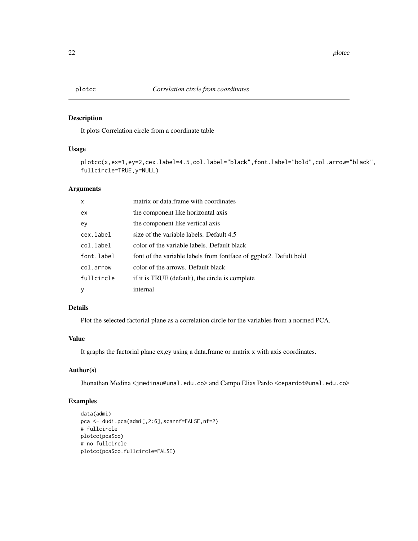<span id="page-21-0"></span>It plots Correlation circle from a coordinate table

#### Usage

plotcc(x,ex=1,ey=2,cex.label=4.5,col.label="black",font.label="bold",col.arrow="black", fullcircle=TRUE,y=NULL)

#### Arguments

| $\mathsf{x}$ | matrix or data.frame with coordinates                             |
|--------------|-------------------------------------------------------------------|
| ex           | the component like horizontal axis                                |
| ev           | the component like vertical axis                                  |
| cex.label    | size of the variable labels. Default 4.5                          |
| col.label    | color of the variable labels. Default black                       |
| font.label   | font of the variable labels from fontface of ggplot2. Defult bold |
| col.arrow    | color of the arrows. Default black                                |
| fullcircle   | if it is TRUE (default), the circle is complete                   |
| y            | internal                                                          |

#### Details

Plot the selected factorial plane as a correlation circle for the variables from a normed PCA.

#### Value

It graphs the factorial plane ex,ey using a data.frame or matrix x with axis coordinates.

#### Author(s)

Jhonathan Medina <jmedinau@unal.edu.co> and Campo Elias Pardo <cepardot@unal.edu.co>

```
data(admi)
pca <- dudi.pca(admi[,2:6],scannf=FALSE,nf=2)
# fullcircle
plotcc(pca$co)
# no fullcircle
plotcc(pca$co,fullcircle=FALSE)
```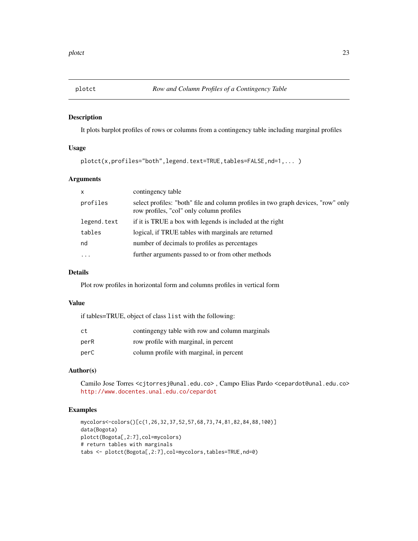<span id="page-22-0"></span>

It plots barplot profiles of rows or columns from a contingency table including marginal profiles

#### Usage

```
plotct(x,profiles="both",legend.text=TRUE,tables=FALSE,nd=1,... )
```
#### Arguments

| $\mathsf{x}$ | contingency table                                                                                                             |
|--------------|-------------------------------------------------------------------------------------------------------------------------------|
| profiles     | select profiles: "both" file and column profiles in two graph devices, "row" only<br>row profiles, "col" only column profiles |
| legend.text  | if it is TRUE a box with legends is included at the right                                                                     |
| tables       | logical, if TRUE tables with marginals are returned                                                                           |
| nd           | number of decimals to profiles as percentages                                                                                 |
| $\ddotsc$    | further arguments passed to or from other methods                                                                             |
|              |                                                                                                                               |

#### Details

Plot row profiles in horizontal form and columns profiles in vertical form

#### Value

if tables=TRUE, object of class list with the following:

| ct   | continging table with row and column marginals |
|------|------------------------------------------------|
| perR | row profile with marginal, in percent          |
| perC | column profile with marginal, in percent       |

#### Author(s)

Camilo Jose Torres <cjtorresj@unal.edu.co> , Campo Elias Pardo <cepardot@unal.edu.co> <http://www.docentes.unal.edu.co/cepardot>

```
mycolors<-colors()[c(1,26,32,37,52,57,68,73,74,81,82,84,88,100)]
data(Bogota)
plotct(Bogota[,2:7],col=mycolors)
# return tables with marginals
tabs <- plotct(Bogota[,2:7],col=mycolors,tables=TRUE,nd=0)
```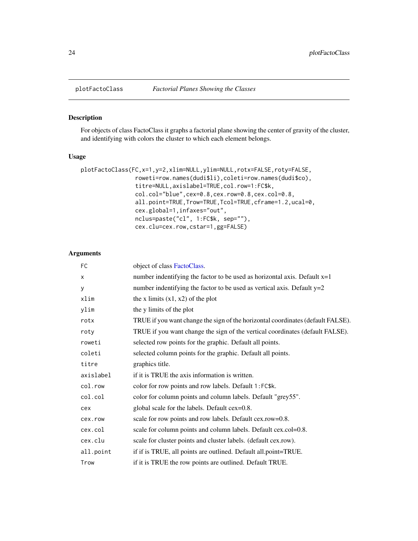<span id="page-23-1"></span><span id="page-23-0"></span>

For objects of class FactoClass it graphs a factorial plane showing the center of gravity of the cluster, and identifying with colors the cluster to which each element belongs.

#### Usage

```
plotFactoClass(FC,x=1,y=2,xlim=NULL,ylim=NULL,rotx=FALSE,roty=FALSE,
                roweti=row.names(dudi$li),coleti=row.names(dudi$co),
                titre=NULL,axislabel=TRUE,col.row=1:FC$k,
                col.col="blue",cex=0.8,cex.row=0.8,cex.col=0.8,
                all.point=TRUE,Trow=TRUE,Tcol=TRUE,cframe=1.2,ucal=0,
                cex.global=1,infaxes="out",
                nclus=paste("cl", 1:FC$k, sep=""),
                cex.clu=cex.row,cstar=1,gg=FALSE)
```
#### Arguments

| FC        | object of class FactoClass.                                                     |
|-----------|---------------------------------------------------------------------------------|
| X         | number indentifying the factor to be used as horizontal axis. Default $x=1$     |
| У         | number indentifying the factor to be used as vertical axis. Default $y=2$       |
| xlim      | the x limits $(x1, x2)$ of the plot                                             |
| ylim      | the y limits of the plot                                                        |
| rotx      | TRUE if you want change the sign of the horizontal coordinates (default FALSE). |
| roty      | TRUE if you want change the sign of the vertical coordinates (default FALSE).   |
| roweti    | selected row points for the graphic. Default all points.                        |
| coleti    | selected column points for the graphic. Default all points.                     |
| titre     | graphics title.                                                                 |
| axislabel | if it is TRUE the axis information is written.                                  |
| col.row   | color for row points and row labels. Default 1:FC\$k.                           |
| col.col   | color for column points and column labels. Default "grey55".                    |
| cex       | global scale for the labels. Default cex=0.8.                                   |
| cex.row   | scale for row points and row labels. Default cex.row=0.8.                       |
| cex.col   | scale for column points and column labels. Default cex.col=0.8.                 |
| cex.clu   | scale for cluster points and cluster labels. (default cex.row).                 |
| all.point | if if is TRUE, all points are outlined. Default all.point=TRUE.                 |
| Trow      | if it is TRUE the row points are outlined. Default TRUE.                        |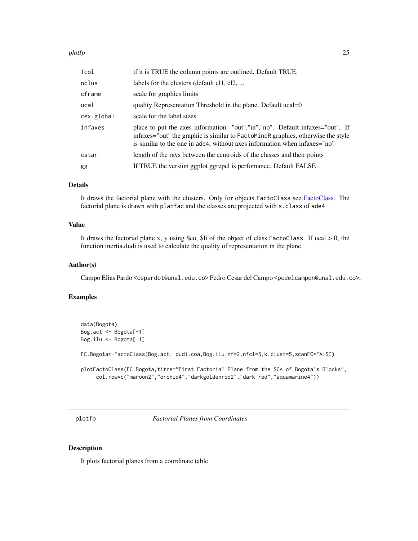#### <span id="page-24-0"></span>plotfp 25

| Tcol       | if it is TRUE the column points are outlined. Default TRUE.                                                                                                                                                                                    |
|------------|------------------------------------------------------------------------------------------------------------------------------------------------------------------------------------------------------------------------------------------------|
| nclus      | labels for the clusters (default cl1, cl2,                                                                                                                                                                                                     |
| cframe     | scale for graphics limits                                                                                                                                                                                                                      |
| ucal       | quality Representation Threshold in the plane. Default ucal=0                                                                                                                                                                                  |
| cex.global | scale for the label sizes                                                                                                                                                                                                                      |
| infaxes    | place to put the axes information: "out","in","no". Default infaxes="out". If<br>infaxes="out" the graphic is similar to FactoMineR graphics, otherwise the style<br>is similar to the one in ade4, without axes information when infaxes="no" |
| cstar      | length of the rays between the centroids of the classes and their points                                                                                                                                                                       |
| gg         | If TRUE the version ggplot ggrepel is perfomance. Default FALSE                                                                                                                                                                                |

#### Details

It draws the factorial plane with the clusters. Only for objects FactoClass see [FactoClass.](#page-11-1) The factorial plane is drawn with planfac and the classes are projected with s.class of ade4

#### Value

It draws the factorial plane x, y using \$co, \$li of the object of class FactoClass. If ucal  $> 0$ , the function inertia.dudi is used to calculate the quality of representation in the plane.

#### Author(s)

Campo Elias Pardo <cepardot@unal.edu.co> Pedro Cesar del Campo <pcdelcampon@unal.edu.co>,

#### Examples

```
data(Bogota)
Bog.act <- Bogota[-1]
Bog.ilu <- Bogota[ 1]
```
FC.Bogota<-FactoClass(Bog.act, dudi.coa,Bog.ilu,nf=2,nfcl=5,k.clust=5,scanFC=FALSE)

```
plotFactoClass(FC.Bogota,titre="First Factorial Plane from the SCA of Bogota's Blocks",
    col.row=c("maroon2","orchid4","darkgoldenrod2","dark red","aquamarine4"))
```
plotfp *Factorial Planes from Coordinates*

#### Description

It plots factorial planes from a coordinate table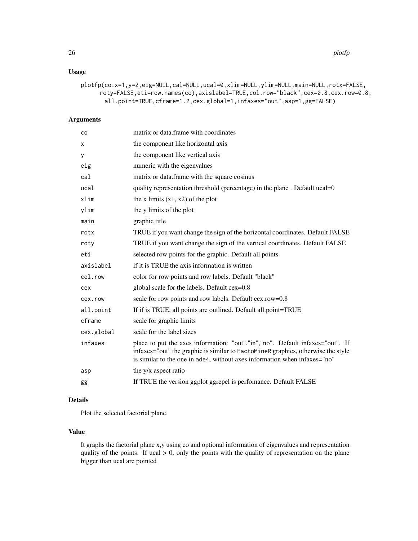#### Usage

```
plotfp(co,x=1,y=2,eig=NULL,cal=NULL,ucal=0,xlim=NULL,ylim=NULL,main=NULL,rotx=FALSE,
     roty=FALSE,eti=row.names(co),axislabel=TRUE,col.row="black",cex=0.8,cex.row=0.8,
      all.point=TRUE,cframe=1.2,cex.global=1,infaxes="out",asp=1,gg=FALSE)
```
#### Arguments

| co         | matrix or data.frame with coordinates                                                                                                                                                                                                          |
|------------|------------------------------------------------------------------------------------------------------------------------------------------------------------------------------------------------------------------------------------------------|
| X          | the component like horizontal axis                                                                                                                                                                                                             |
| у          | the component like vertical axis                                                                                                                                                                                                               |
| eig        | numeric with the eigenvalues                                                                                                                                                                                                                   |
| cal        | matrix or data.frame with the square cosinus                                                                                                                                                                                                   |
| ucal       | quality representation threshold (percentage) in the plane. Default ucal=0                                                                                                                                                                     |
| xlim       | the x limits $(x1, x2)$ of the plot                                                                                                                                                                                                            |
| ylim       | the y limits of the plot                                                                                                                                                                                                                       |
| main       | graphic title                                                                                                                                                                                                                                  |
| rotx       | TRUE if you want change the sign of the horizontal coordinates. Default FALSE                                                                                                                                                                  |
| roty       | TRUE if you want change the sign of the vertical coordinates. Default FALSE                                                                                                                                                                    |
| eti        | selected row points for the graphic. Default all points                                                                                                                                                                                        |
| axislabel  | if it is TRUE the axis information is written                                                                                                                                                                                                  |
| col.row    | color for row points and row labels. Default "black"                                                                                                                                                                                           |
| cex        | global scale for the labels. Default cex=0.8                                                                                                                                                                                                   |
| cex.row    | scale for row points and row labels. Default cex.row=0.8                                                                                                                                                                                       |
| all.point  | If if is TRUE, all points are outlined. Default all.point=TRUE                                                                                                                                                                                 |
| cframe     | scale for graphic limits                                                                                                                                                                                                                       |
| cex.global | scale for the label sizes                                                                                                                                                                                                                      |
| infaxes    | place to put the axes information: "out","in","no". Default infaxes="out". If<br>infaxes="out" the graphic is similar to FactoMineR graphics, otherwise the style<br>is similar to the one in ade4, without axes information when infaxes="no" |
| asp        | the y/x aspect ratio                                                                                                                                                                                                                           |
| gg         | If TRUE the version ggplot ggrepel is perfomance. Default FALSE                                                                                                                                                                                |

#### Details

Plot the selected factorial plane.

#### Value

It graphs the factorial plane x,y using co and optional information of eigenvalues and representation quality of the points. If ucal  $> 0$ , only the points with the quality of representation on the plane bigger than ucal are pointed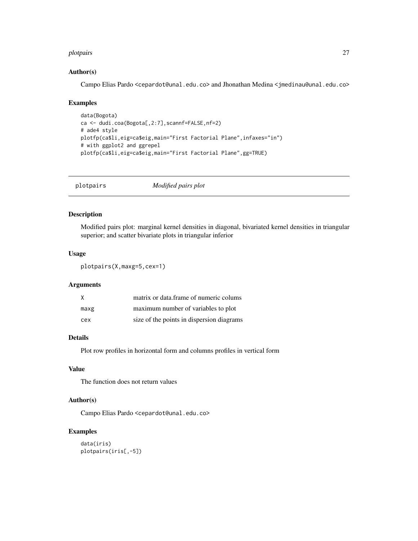#### <span id="page-26-0"></span>plotpairs 27

#### Author(s)

Campo Elias Pardo <cepardot@unal.edu.co> and Jhonathan Medina <jmedinau@unal.edu.co>

#### Examples

```
data(Bogota)
ca <- dudi.coa(Bogota[,2:7],scannf=FALSE,nf=2)
# ade4 style
plotfp(ca$li,eig=ca$eig,main="First Factorial Plane",infaxes="in")
# with ggplot2 and ggrepel
plotfp(ca$li,eig=ca$eig,main="First Factorial Plane",gg=TRUE)
```
plotpairs *Modified pairs plot*

#### Description

Modified pairs plot: marginal kernel densities in diagonal, bivariated kernel densities in triangular superior; and scatter bivariate plots in triangular inferior

#### Usage

```
plotpairs(X,maxg=5,cex=1)
```
#### Arguments

| X    | matrix or data.frame of numeric colums    |  |
|------|-------------------------------------------|--|
| maxg | maximum number of variables to plot       |  |
| cex  | size of the points in dispersion diagrams |  |

#### Details

Plot row profiles in horizontal form and columns profiles in vertical form

#### Value

The function does not return values

#### Author(s)

Campo Elias Pardo <cepardot@unal.edu.co>

```
data(iris)
plotpairs(iris[,-5])
```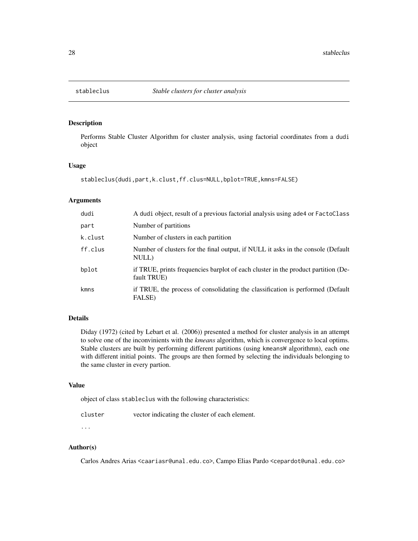<span id="page-27-0"></span>

Performs Stable Cluster Algorithm for cluster analysis, using factorial coordinates from a dudi object

#### Usage

stableclus(dudi,part,k.clust,ff.clus=NULL,bplot=TRUE,kmns=FALSE)

#### Arguments

| dudi    | A dudi object, result of a previous factorial analysis using a de4 or FactoClass                 |
|---------|--------------------------------------------------------------------------------------------------|
| part    | Number of partitions                                                                             |
| k.clust | Number of clusters in each partition                                                             |
| ff.clus | Number of clusters for the final output, if NULL it asks in the console (Default<br>NULL)        |
| bplot   | if TRUE, prints frequencies barplot of each cluster in the product partition (De-<br>fault TRUE) |
| kmns    | if TRUE, the process of consolidating the classification is performed (Default<br>FALSE)         |

#### Details

Diday (1972) (cited by Lebart et al. (2006)) presented a method for cluster analysis in an attempt to solve one of the inconvinients with the *kmeans* algorithm, which is convergence to local optims. Stable clusters are built by performing different partitions (using kmeansW algorithmn), each one with different initial points. The groups are then formed by selecting the individuals belonging to the same cluster in every partion.

#### Value

object of class stableclus with the following characteristics:

| cluster | vector indicating the cluster of each element. |
|---------|------------------------------------------------|
|---------|------------------------------------------------|

# ...

#### Author(s)

Carlos Andres Arias <caariasr@unal.edu.co>, Campo Elias Pardo <cepardot@unal.edu.co>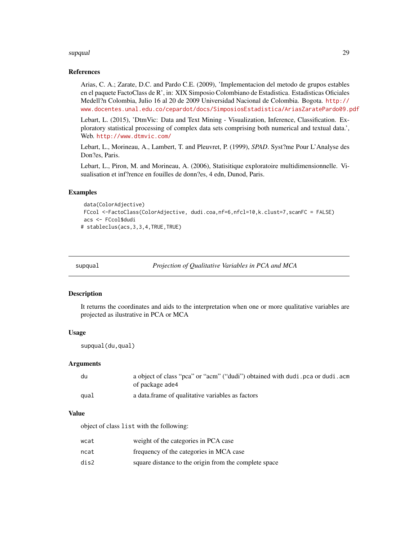#### <span id="page-28-0"></span>supqual 29 and 2012 and 2013 and 2014 and 2014 and 2014 and 2014 and 2014 and 2014 and 2014 and 2014 and 2014

#### References

Arias, C. A.; Zarate, D.C. and Pardo C.E. (2009), 'Implementacion del metodo de grupos estables en el paquete FactoClass de R', in: XIX Simposio Colombiano de Estadistica. Estadisticas Oficiales Medell?n Colombia, Julio 16 al 20 de 2009 Universidad Nacional de Colombia. Bogota. [http://](http://www.docentes.unal.edu.co/cepardot/docs/SimposiosEstadistica/AriasZaratePardo09.pdf) [www.docentes.unal.edu.co/cepardot/docs/SimposiosEstadistica/AriasZaratePardo09.pdf](http://www.docentes.unal.edu.co/cepardot/docs/SimposiosEstadistica/AriasZaratePardo09.pdf)

Lebart, L. (2015), 'DtmVic: Data and Text Mining - Visualization, Inference, Classification. Exploratory statistical processing of complex data sets comprising both numerical and textual data.', Web. <http://www.dtmvic.com/>

Lebart, L., Morineau, A., Lambert, T. and Pleuvret, P. (1999), *SPAD*. Syst?me Pour L'Analyse des Don?es, Paris.

Lebart, L., Piron, M. and Morineau, A. (2006), Statisitique exploratoire multidimensionnelle. Visualisation et inf?rence en fouilles de donn?es, 4 edn, Dunod, Paris.

#### Examples

```
data(ColorAdjective)
FCcol <-FactoClass(ColorAdjective, dudi.coa,nf=6,nfcl=10,k.clust=7,scanFC = FALSE)
acs <- FCcol$dudi
# stableclus(acs,3,3,4,TRUE,TRUE)
```
supqual *Projection of Qualitative Variables in PCA and MCA*

#### **Description**

It returns the coordinates and aids to the interpretation when one or more qualitative variables are projected as ilustrative in PCA or MCA

#### Usage

supqual(du,qual)

#### Arguments

| du   | a object of class "pca" or "acm" ("dudi") obtained with dudi . pca or dudi . acm<br>of package ade4 |
|------|-----------------------------------------------------------------------------------------------------|
| qual | a data frame of qualitative variables as factors                                                    |

#### Value

object of class list with the following:

| wcat | weight of the categories in PCA case                  |
|------|-------------------------------------------------------|
| ncat | frequency of the categories in MCA case               |
| dis2 | square distance to the origin from the complete space |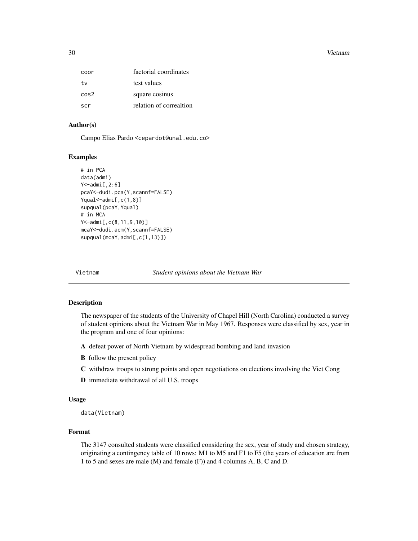<span id="page-29-0"></span>30 Vietnam

| coor             | factorial coordinates   |
|------------------|-------------------------|
| t.v              | test values             |
| cos <sup>2</sup> | square cosinus          |
| scr              | relation of correaltion |

#### Author(s)

Campo Elias Pardo <cepardot@unal.edu.co>

#### Examples

```
# in PCA
data(admi)
Y<-admi[,2:6]
pcaY<-dudi.pca(Y,scannf=FALSE)
Yqual<-admi[,c(1,8)]
supqual(pcaY,Yqual)
# in MCA
Y<-admi[,c(8,11,9,10)]
mcaY<-dudi.acm(Y,scannf=FALSE)
supqual(mcaY,admi[,c(1,13)])
```
Vietnam *Student opinions about the Vietnam War*

#### Description

The newspaper of the students of the University of Chapel Hill (North Carolina) conducted a survey of student opinions about the Vietnam War in May 1967. Responses were classified by sex, year in the program and one of four opinions:

- A defeat power of North Vietnam by widespread bombing and land invasion
- B follow the present policy
- C withdraw troops to strong points and open negotiations on elections involving the Viet Cong
- D immediate withdrawal of all U.S. troops

#### Usage

data(Vietnam)

#### Format

The 3147 consulted students were classified considering the sex, year of study and chosen strategy, originating a contingency table of 10 rows: M1 to M5 and F1 to F5 (the years of education are from 1 to 5 and sexes are male (M) and female (F)) and 4 columns A, B, C and D.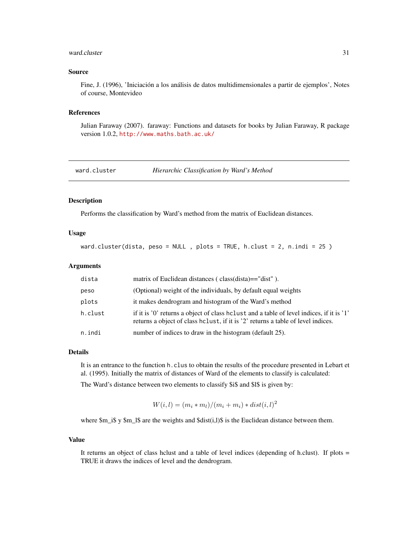#### <span id="page-30-0"></span>ward.cluster 31

#### Source

Fine, J. (1996), 'Iniciación a los análisis de datos multidimensionales a partir de ejemplos', Notes of course, Montevideo

#### References

Julian Faraway (2007). faraway: Functions and datasets for books by Julian Faraway, R package version 1.0.2, <http://www.maths.bath.ac.uk/>

ward.cluster *Hierarchic Classification by Ward's Method*

#### Description

Performs the classification by Ward's method from the matrix of Euclidean distances.

#### Usage

ward.cluster(dista, peso = NULL , plots = TRUE, h.clust = 2, n.indi = 25 )

#### Arguments

| dista   | matrix of Euclidean distances (class(dista)=="dist").                                                                                                                          |
|---------|--------------------------------------------------------------------------------------------------------------------------------------------------------------------------------|
| peso    | (Optional) weight of the individuals, by default equal weights                                                                                                                 |
| plots   | it makes dendrogram and histogram of the Ward's method                                                                                                                         |
| h.clust | if it is '0' returns a object of class holiest and a table of level indices, if it is '1'<br>returns a object of class heliust, if it is '2' returns a table of level indices. |
| n.indi  | number of indices to draw in the histogram (default 25).                                                                                                                       |

#### Details

It is an entrance to the function h.clus to obtain the results of the procedure presented in Lebart et al. (1995). Initially the matrix of distances of Ward of the elements to classify is calculated:

The Ward's distance between two elements to classify \$i\$ and \$l\$ is given by:

 $W(i, l) = (m_i * m_l)/(m_i + m_i) * dist(i, l)^2$ 

where  $m_i$  is y  $m_l$  sare the weights and  $sdist(i,l)$  is the Euclidean distance between them.

#### Value

It returns an object of class hclust and a table of level indices (depending of h.clust). If plots = TRUE it draws the indices of level and the dendrogram.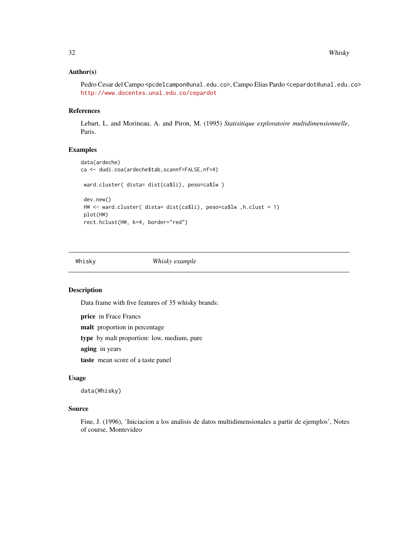#### <span id="page-31-0"></span>Author(s)

Pedro Cesar del Campo <pcdelcampon@unal.edu.co>, Campo Elias Pardo <cepardot@unal.edu.co> <http://www.docentes.unal.edu.co/cepardot>

#### References

Lebart, L. and Morineau, A. and Piron, M. (1995) *Statisitique exploratoire multidimensionnelle*, Paris.

#### Examples

```
data(ardeche)
ca <- dudi.coa(ardeche$tab,scannf=FALSE,nf=4)
ward.cluster( dista= dist(ca$li), peso=ca$lw )
dev.new()
HW <- ward.cluster( dista= dist(ca$li), peso=ca$lw ,h.clust = 1)
plot(HW)
rect.hclust(HW, k=4, border="red")
```
Whisky *Whisky example*

#### Description

Data frame with five features of 35 whisky brands:

price in Frace Francs

malt proportion in percentage

type by malt proportion: low, medium, pure

aging in years

taste mean score of a taste panel

#### Usage

data(Whisky)

#### Source

Fine, J. (1996), 'Iniciacion a los analisis de datos multidimensionales a partir de ejemplos', Notes of course, Montevideo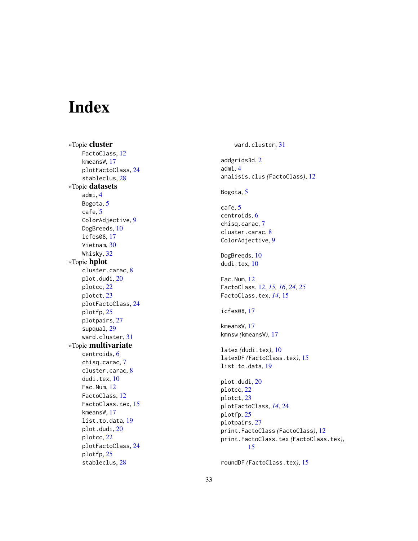# <span id="page-32-0"></span>Index

∗Topic cluster FactoClass, [12](#page-11-0) kmeansW , [17](#page-16-0) plotFactoClass , [24](#page-23-0) stableclus , [28](#page-27-0) ∗Topic datasets admi , [4](#page-3-0) Bogota, <mark>[5](#page-4-0)</mark> cafe , [5](#page-4-0) ColorAdjective , [9](#page-8-0) DogBreeds, [10](#page-9-0) icfes08 , [17](#page-16-0) Vietnam, [30](#page-29-0) Whisky , [32](#page-31-0) ∗Topic hplot cluster.carac, [8](#page-7-0) plot.dudi , [20](#page-19-0) plotcc , [22](#page-21-0) plotct , [23](#page-22-0) plotFactoClass , [24](#page-23-0) plotfp , [25](#page-24-0) plotpairs , [27](#page-26-0) supqual , [29](#page-28-0) ward.cluster , [31](#page-30-0) ∗Topic multivariate centroids , [6](#page-5-0) chisq.carac , [7](#page-6-0) cluster.carac , [8](#page-7-0) dudi.tex, [10](#page-9-0) Fac.Num , [12](#page-11-0) FactoClass, [12](#page-11-0) FactoClass.tex, [15](#page-14-0) kmeansW , [17](#page-16-0) list.to.data, [19](#page-18-0) plot.dudi , [20](#page-19-0) plotcc , [22](#page-21-0) plotFactoClass , [24](#page-23-0) plotfp , [25](#page-24-0) stableclus , [28](#page-27-0)

ward.cluster , [31](#page-30-0) addgrids3d,[2](#page-1-0) admi , [4](#page-3-0) analisis.clus *(*FactoClass *)* , [12](#page-11-0) Bogota, <mark>[5](#page-4-0)</mark> cafe , [5](#page-4-0) centroids , [6](#page-5-0) chisq.carac , [7](#page-6-0) cluster.carac , [8](#page-7-0) ColorAdjective , [9](#page-8-0) DogBreeds , [10](#page-9-0) dudi.tex,  $10$ Fac.Num , [12](#page-11-0) FactoClass , [12](#page-11-0) , *[15](#page-14-0) , [16](#page-15-0)* , *[24](#page-23-0) , [25](#page-24-0)* FactoClass.tex , *[14](#page-13-0)* , [15](#page-14-0) icfes08 , [17](#page-16-0) kmeansW , [17](#page-16-0) kmnsw *(*kmeansW *)* , [17](#page-16-0) latex *(*dudi.tex *)* , [10](#page-9-0) latexDF *(*FactoClass.tex *)* , [15](#page-14-0) list.to.data , [19](#page-18-0) plot.dudi , [20](#page-19-0) plotcc , [22](#page-21-0) plotct , [23](#page-22-0) plotFactoClass , *[14](#page-13-0)* , [24](#page-23-0) plotfp , [25](#page-24-0) plotpairs , [27](#page-26-0) print.FactoClass *(*FactoClass *)* , [12](#page-11-0) print.FactoClass.tex *(*FactoClass.tex *)* , [15](#page-14-0) roundDF *(*FactoClass.tex *)* , [15](#page-14-0)